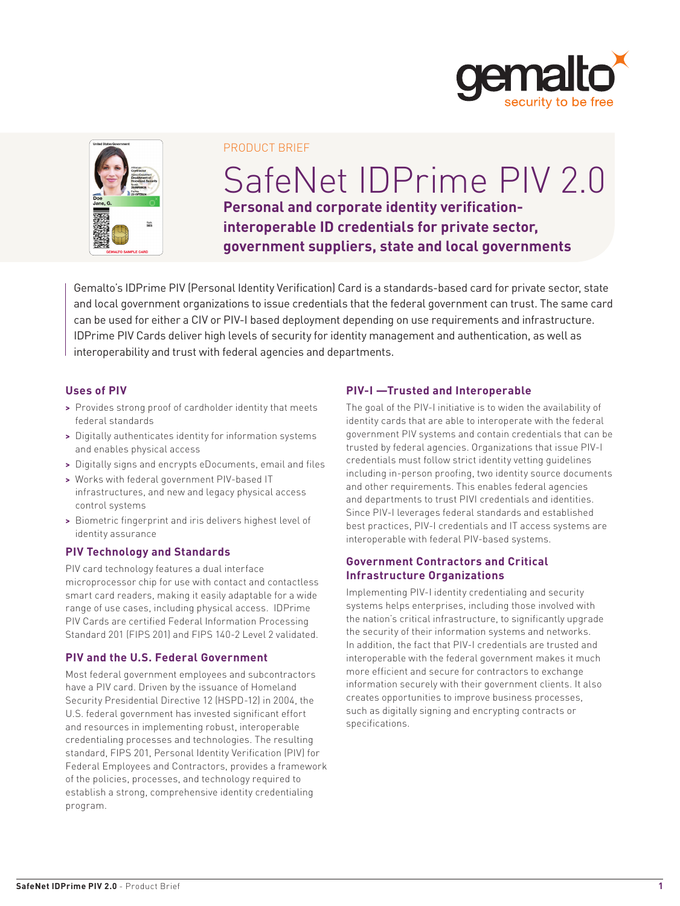



#### PRODUCT BRIEF

# SafeNet IDPrime PIV 2.0 **Personal and corporate identity verificationinteroperable ID credentials for private sector, government suppliers, state and local governments**

Gemalto's IDPrime PIV (Personal Identity Verification) Card is a standards-based card for private sector, state and local government organizations to issue credentials that the federal government can trust. The same card can be used for either a CIV or PIV-I based deployment depending on use requirements and infrastructure. IDPrime PIV Cards deliver high levels of security for identity management and authentication, as well as interoperability and trust with federal agencies and departments.

## **Uses of PIV**

- **>** Provides strong proof of cardholder identity that meets federal standards
- **>** Digitally authenticates identity for information systems and enables physical access
- **>** Digitally signs and encrypts eDocuments, email and files
- **>** Works with federal government PIV-based IT infrastructures, and new and legacy physical access control systems
- **>** Biometric fingerprint and iris delivers highest level of identity assurance

## **PIV Technology and Standards**

PIV card technology features a dual interface microprocessor chip for use with contact and contactless smart card readers, making it easily adaptable for a wide range of use cases, including physical access. IDPrime PIV Cards are certified Federal Information Processing Standard 201 (FIPS 201) and FIPS 140-2 Level 2 validated.

# **PIV and the U.S. Federal Government**

Most federal government employees and subcontractors have a PIV card. Driven by the issuance of Homeland Security Presidential Directive 12 (HSPD-12) in 2004, the U.S. federal government has invested significant effort and resources in implementing robust, interoperable credentialing processes and technologies. The resulting standard, FIPS 201, Personal Identity Verification (PIV) for Federal Employees and Contractors, provides a framework of the policies, processes, and technology required to establish a strong, comprehensive identity credentialing program.

## **PIV-I —Trusted and Interoperable**

The goal of the PIV-I initiative is to widen the availability of identity cards that are able to interoperate with the federal government PIV systems and contain credentials that can be trusted by federal agencies. Organizations that issue PIV-I credentials must follow strict identity vetting guidelines including in-person proofing, two identity source documents and other requirements. This enables federal agencies and departments to trust PIVI credentials and identities. Since PIV-I leverages federal standards and established best practices, PIV-I credentials and IT access systems are interoperable with federal PIV-based systems.

#### **Government Contractors and Critical Infrastructure Organizations**

Implementing PIV-I identity credentialing and security systems helps enterprises, including those involved with the nation's critical infrastructure, to significantly upgrade the security of their information systems and networks. In addition, the fact that PIV-I credentials are trusted and interoperable with the federal government makes it much more efficient and secure for contractors to exchange information securely with their government clients. It also creates opportunities to improve business processes, such as digitally signing and encrypting contracts or specifications.